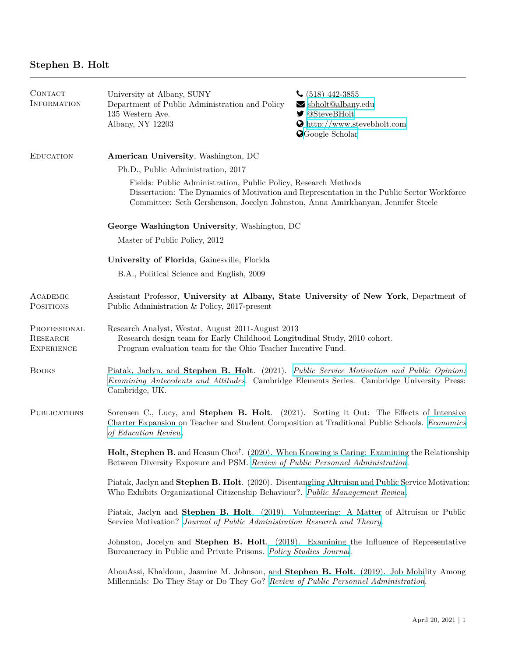| CONTACT<br><b>INFORMATION</b>                        | University at Albany, SUNY<br>Department of Public Administration and Policy<br>135 Western Ave.<br>Albany, NY 12203                                                                                                                            | $\bigcup$ (518) 442-3855<br>$\blacktriangleright$ sbholt@albany.edu<br>$\blacktriangleright$ @SteveBHolt<br>$\bullet$ http://www.stevebholt.com<br><b>O</b> Google Scholar |  |
|------------------------------------------------------|-------------------------------------------------------------------------------------------------------------------------------------------------------------------------------------------------------------------------------------------------|----------------------------------------------------------------------------------------------------------------------------------------------------------------------------|--|
| <b>EDUCATION</b>                                     | American University, Washington, DC                                                                                                                                                                                                             |                                                                                                                                                                            |  |
|                                                      | Ph.D., Public Administration, 2017                                                                                                                                                                                                              |                                                                                                                                                                            |  |
|                                                      | Fields: Public Administration, Public Policy, Research Methods<br>Dissertation: The Dynamics of Motivation and Representation in the Public Sector Workforce<br>Committee: Seth Gershenson, Jocelyn Johnston, Anna Amirkhanyan, Jennifer Steele |                                                                                                                                                                            |  |
|                                                      | George Washington University, Washington, DC<br>Master of Public Policy, 2012                                                                                                                                                                   |                                                                                                                                                                            |  |
|                                                      |                                                                                                                                                                                                                                                 |                                                                                                                                                                            |  |
|                                                      | University of Florida, Gainesville, Florida                                                                                                                                                                                                     |                                                                                                                                                                            |  |
|                                                      | B.A., Political Science and English, 2009                                                                                                                                                                                                       |                                                                                                                                                                            |  |
| ACADEMIC<br><b>POSITIONS</b>                         | Assistant Professor, University at Albany, State University of New York, Department of<br>Public Administration & Policy, 2017-present                                                                                                          |                                                                                                                                                                            |  |
| PROFESSIONAL<br><b>RESEARCH</b><br><b>EXPERIENCE</b> | Research Analyst, Westat, August 2011-August 2013<br>Research design team for Early Childhood Longitudinal Study, 2010 cohort.<br>Program evaluation team for the Ohio Teacher Incentive Fund.                                                  |                                                                                                                                                                            |  |
| <b>BOOKS</b>                                         | Piatak, Jaclyn, and Stephen B. Holt. (2021). Public Service Motivation and Public Opinion:<br>Examining Antecedents and Attitudes. Cambridge Elements Series. Cambridge University Press:<br>Cambridge, UK.                                     |                                                                                                                                                                            |  |
| <b>PUBLICATIONS</b>                                  | Sorensen C., Lucy, and Stephen B. Holt. (2021). Sorting it Out: The Effects of Intensive<br>Charter Expansion on Teacher and Student Composition at Traditional Public Schools. Economics<br>of Education Review.                               |                                                                                                                                                                            |  |
|                                                      | Holt, Stephen B. and Heasun Choi <sup>†</sup> . (2020). When Knowing is Caring: Examining the Relationship<br>Between Diversity Exposure and PSM. Review of Public Personnel Administration.                                                    |                                                                                                                                                                            |  |
|                                                      | Piatak, Jaclyn and Stephen B. Holt. (2020). Disentangling Altruism and Public Service Motivation:<br>Who Exhibits Organizational Citizenship Behaviour?. Public Management Review.                                                              |                                                                                                                                                                            |  |
|                                                      | Piatak, Jaclyn and Stephen B. Holt. (2019). Volunteering: A Matter of Altruism or Public<br>Service Motivation? Journal of Public Administration Research and Theory.                                                                           |                                                                                                                                                                            |  |
|                                                      | Johnston, Jocelyn and Stephen B. Holt. (2019). Examining the Influence of Representative<br>Bureaucracy in Public and Private Prisons. Policy Studies Journal.                                                                                  |                                                                                                                                                                            |  |
|                                                      | AbouAssi, Khaldoun, Jasmine M. Johnson, and Stephen B. Holt. (2019). Job Mobility Among<br>Millennials: Do They Stay or Do They Go? Review of Public Personnel Administration.                                                                  |                                                                                                                                                                            |  |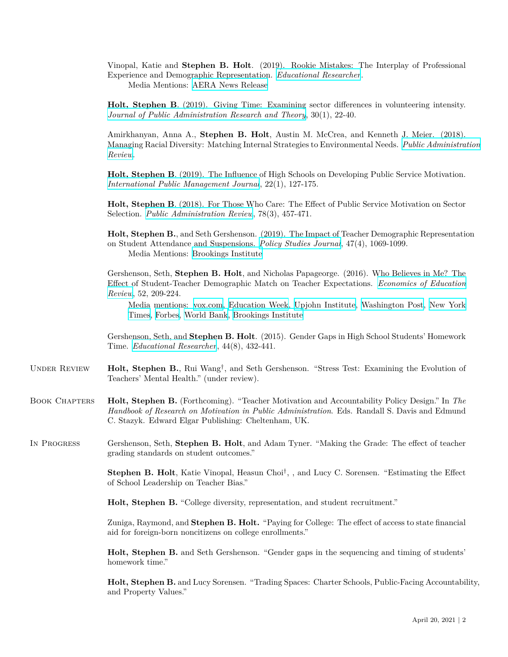Vinopal, Katie and **Stephen B. Holt**. (2019). Rookie Mistakes: The Interplay of Professional Experience and Demographic Representation. *[Educational Researcher](https://doi.org/10.3102/0013189X19867699)*.

Media Mentions: [AERA News Release](https://www.aera.net/Newsroom/New-Research-Video-Recap-Rookie-Mistakes-The-Interplay-of-Teacher-Experience-and-Racial-Representation)

**Holt, Stephen B**. (2019). Giving Time: Examining sector differences in volunteering intensity. *[Journal of Public Administration Research and Theory](https://doi.org/10.1093/jopart/muz007)*, 30(1), 22-40.

Amirkhanyan, Anna A., **Stephen B. Holt**, Austin M. McCrea, and Kenneth J. Meier. (2018). Managing Racial Diversity: Matching Internal Strategies to Environmental Needs. *[Public Administration](https://doi.org/10.1111/puar.12977) [Review](https://doi.org/10.1111/puar.12977)*.

**Holt, Stephen B**. (2019). The Influence of High Schools on Developing Public Service Motivation. *[International Public Management Journal](https://doi.org/10.1080/10967494.2018.1470120)*, 22(1), 127-175.

**Holt, Stephen B**. (2018). For Those Who Care: The Effect of Public Service Motivation on Sector Selection. *[Public Administration Review](http://doi.org/10.1111/puar.12906)*, 78(3), 457-471.

**Holt, Stephen B.**, and Seth Gershenson. (2019). The Impact of Teacher Demographic Representation on Student Attendance and Suspensions. *[Policy Studies Journal](http://doi.org/10.1111/psj.12229)*, 47(4), 1069-1099. Media Mentions: [Brookings Institute](https://www.brookings.edu/blog/brown-center-chalkboard/2019/04/02/the-teacher-diversity-gap-is-literally-inherited/)

Gershenson, Seth, **Stephen B. Holt**, and Nicholas Papageorge. (2016). Who Believes in Me? The Effect of Student-Teacher Demographic Match on Teacher Expectations. *[Economics of Education](https://doi.org/10.1016/j.econedurev.2016.03.002) [Review](https://doi.org/10.1016/j.econedurev.2016.03.002)*, 52, 209-224.

Media mentions: [vox.com,](https://www.vox.com/policy-and-politics/2015/8/19/9178573/teacher-students-race-study) [Education Week,](http://blogs.edweek.org/edweek/inside-school-research/2015/09/racial_mismatch_changes_teache.html?cmp=soc-edit-tw) [Upjohn Institute,](http://www.upjohn.org/research-highlights/are-teachers%E2%80%99-expectations-students-systematically-biased) [Washington Post,](https://www.washingtonpost.com/news/answer-sheet/wp/2017/04/09/study-black-students-from-poor-families-are-more-likely-to-graduate-high-school-if-they-have-at-least-one-black-teacher/?utm_term=.38baf7bc6467) [New York](https://www.nytimes.com/2019/01/15/upshot/the-gender-achievement-gap-starts-later-for-asian-american-students.html) [Times](https://www.nytimes.com/2019/01/15/upshot/the-gender-achievement-gap-starts-later-for-asian-american-students.html), [Forbes,](https://www.forbes.com/sites/nataliewexler/2018/09/14/why-we-need-a-teacher-workforce-thats-both-diverse-and-knowledgeable/#4f36a3407f3c) [World Bank,](https://openknowledge.worldbank.org/handle/10986/29883) [Brookings Institute](https://www.brookings.edu/research/high-hopes-and-harsh-realities-the-real-challenges-to-building-a-diverse-teacher-workforce/)

Gershenson, Seth, and **Stephen B. Holt**. (2015). Gender Gaps in High School Students' Homework Time. *[Educational Researcher](http://journals.sagepub.com/doi/full/10.3102/0013189X15616123)*, 44(8), 432-441.

- UNDER REVIEW **Holt, Stephen B.**, Rui Wang<sup>†</sup>, and Seth Gershenson. "Stress Test: Examining the Evolution of Teachers' Mental Health." (under review).
- Book Chapters **Holt, Stephen B.** (Forthcoming). "Teacher Motivation and Accountability Policy Design." In *The Handbook of Research on Motivation in Public Administration*. Eds. Randall S. Davis and Edmund C. Stazyk. Edward Elgar Publishing: Cheltenham, UK.
- In Progress Gershenson, Seth, **Stephen B. Holt**, and Adam Tyner. "Making the Grade: The effect of teacher grading standards on student outcomes."

**Stephen B. Holt**, Katie Vinopal, Heasun Choi*†* , , and Lucy C. Sorensen. "Estimating the Effect of School Leadership on Teacher Bias."

**Holt, Stephen B.** "College diversity, representation, and student recruitment."

Zuniga, Raymond, and **Stephen B. Holt.** "Paying for College: The effect of access to state financial aid for foreign-born noncitizens on college enrollments."

**Holt, Stephen B.** and Seth Gershenson. "Gender gaps in the sequencing and timing of students' homework time."

**Holt, Stephen B.** and Lucy Sorensen. "Trading Spaces: Charter Schools, Public-Facing Accountability, and Property Values."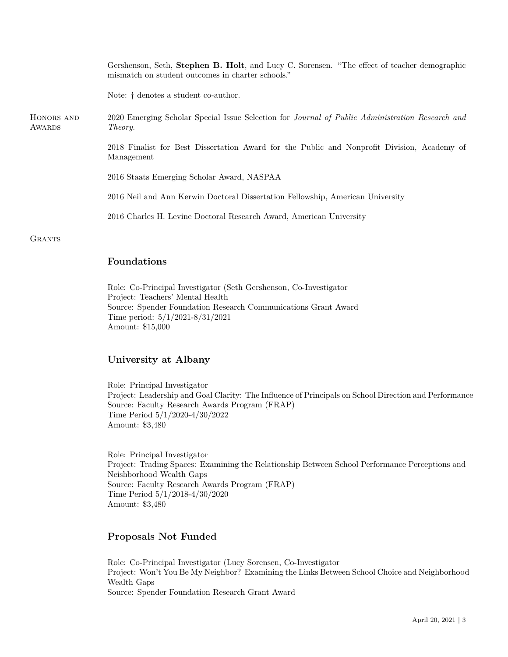|                      | Gershenson, Seth, Stephen B. Holt, and Lucy C. Sorensen. "The effect of teacher demographic<br>mismatch on student outcomes in charter schools." |
|----------------------|--------------------------------------------------------------------------------------------------------------------------------------------------|
|                      | Note: † denotes a student co-author.                                                                                                             |
| HONORS AND<br>AWARDS | 2020 Emerging Scholar Special Issue Selection for <i>Journal of Public Administration Research and</i><br><i>Theory.</i>                         |
|                      | 2018 Finalist for Best Dissertation Award for the Public and Nonprofit Division, Academy of<br>Management                                        |
|                      | 2016 Staats Emerging Scholar Award, NASPAA                                                                                                       |
|                      | 2016 Neil and Ann Kerwin Doctoral Dissertation Fellowship, American University                                                                   |
|                      | 2016 Charles H. Levine Doctoral Research Award, American University                                                                              |
| GRANTS               |                                                                                                                                                  |

### **Foundations**

Role: Co-Principal Investigator (Seth Gershenson, Co-Investigator Project: Teachers' Mental Health Source: Spender Foundation Research Communications Grant Award Time period: 5/1/2021-8/31/2021 Amount: \$15,000

# **University at Albany**

Role: Principal Investigator Project: Leadership and Goal Clarity: The Influence of Principals on School Direction and Performance Source: Faculty Research Awards Program (FRAP) Time Period 5/1/2020-4/30/2022 Amount: \$3,480

Role: Principal Investigator Project: Trading Spaces: Examining the Relationship Between School Performance Perceptions and Neishborhood Wealth Gaps Source: Faculty Research Awards Program (FRAP) Time Period 5/1/2018-4/30/2020 Amount: \$3,480

## **Proposals Not Funded**

Role: Co-Principal Investigator (Lucy Sorensen, Co-Investigator Project: Won't You Be My Neighbor? Examining the Links Between School Choice and Neighborhood Wealth Gaps Source: Spender Foundation Research Grant Award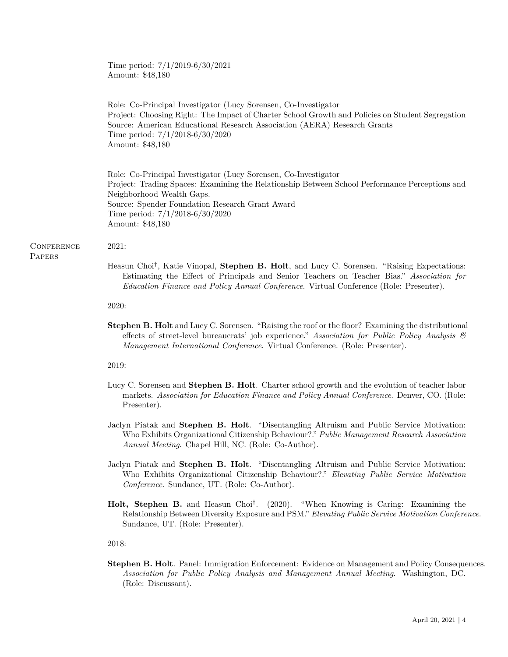Time period: 7/1/2019-6/30/2021 Amount: \$48,180

Role: Co-Principal Investigator (Lucy Sorensen, Co-Investigator Project: Choosing Right: The Impact of Charter School Growth and Policies on Student Segregation Source: American Educational Research Association (AERA) Research Grants Time period: 7/1/2018-6/30/2020 Amount: \$48,180

Role: Co-Principal Investigator (Lucy Sorensen, Co-Investigator Project: Trading Spaces: Examining the Relationship Between School Performance Perceptions and Neighborhood Wealth Gaps. Source: Spender Foundation Research Grant Award Time period: 7/1/2018-6/30/2020 Amount: \$48,180

#### **CONFERENCE**

**PAPERS** 

- 2021:
	- Heasun Choi*†* , Katie Vinopal, **Stephen B. Holt**, and Lucy C. Sorensen. "Raising Expectations: Estimating the Effect of Principals and Senior Teachers on Teacher Bias." *Association for Education Finance and Policy Annual Conference*. Virtual Conference (Role: Presenter).

2020:

**Stephen B. Holt** and Lucy C. Sorensen. "Raising the roof or the floor? Examining the distributional effects of street-level bureaucrats' job experience." *Association for Public Policy Analysis & Management International Conference*. Virtual Conference. (Role: Presenter).

2019:

- Lucy C. Sorensen and **Stephen B. Holt**. Charter school growth and the evolution of teacher labor markets. *Association for Education Finance and Policy Annual Conference*. Denver, CO. (Role: Presenter).
- Jaclyn Piatak and **Stephen B. Holt**. "Disentangling Altruism and Public Service Motivation: Who Exhibits Organizational Citizenship Behaviour?." *Public Management Research Association Annual Meeting*. Chapel Hill, NC. (Role: Co-Author).
- Jaclyn Piatak and **Stephen B. Holt**. "Disentangling Altruism and Public Service Motivation: Who Exhibits Organizational Citizenship Behaviour?." *Elevating Public Service Motivation Conference*. Sundance, UT. (Role: Co-Author).
- **Holt, Stephen B.** and Heasun Choi*†* . (2020). "When Knowing is Caring: Examining the Relationship Between Diversity Exposure and PSM." *Elevating Public Service Motivation Conference*. Sundance, UT. (Role: Presenter).

2018:

**Stephen B. Holt**. Panel: Immigration Enforcement: Evidence on Management and Policy Consequences. *Association for Public Policy Analysis and Management Annual Meeting*. Washington, DC. (Role: Discussant).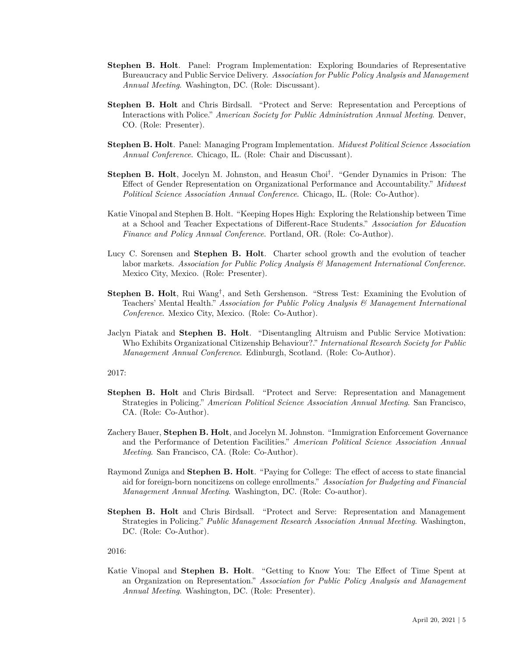- **Stephen B. Holt**. Panel: Program Implementation: Exploring Boundaries of Representative Bureaucracy and Public Service Delivery. *Association for Public Policy Analysis and Management Annual Meeting*. Washington, DC. (Role: Discussant).
- **Stephen B. Holt** and Chris Birdsall. "Protect and Serve: Representation and Perceptions of Interactions with Police." *American Society for Public Administration Annual Meeting*. Denver, CO. (Role: Presenter).
- **Stephen B. Holt**. Panel: Managing Program Implementation. *Midwest Political Science Association Annual Conference*. Chicago, IL. (Role: Chair and Discussant).
- **Stephen B. Holt**, Jocelyn M. Johnston, and Heasun Choi*†* . "Gender Dynamics in Prison: The Effect of Gender Representation on Organizational Performance and Accountability." *Midwest Political Science Association Annual Conference*. Chicago, IL. (Role: Co-Author).
- Katie Vinopal and Stephen B. Holt. "Keeping Hopes High: Exploring the Relationship between Time at a School and Teacher Expectations of Different-Race Students." *Association for Education Finance and Policy Annual Conference*. Portland, OR. (Role: Co-Author).
- Lucy C. Sorensen and **Stephen B. Holt**. Charter school growth and the evolution of teacher labor markets. *Association for Public Policy Analysis & Management International Conference*. Mexico City, Mexico. (Role: Presenter).
- **Stephen B. Holt**, Rui Wang*†* , and Seth Gershenson. "Stress Test: Examining the Evolution of Teachers' Mental Health." *Association for Public Policy Analysis & Management International Conference*. Mexico City, Mexico. (Role: Co-Author).
- Jaclyn Piatak and **Stephen B. Holt**. "Disentangling Altruism and Public Service Motivation: Who Exhibits Organizational Citizenship Behaviour?." *International Research Society for Public Management Annual Conference*. Edinburgh, Scotland. (Role: Co-Author).

2017:

- **Stephen B. Holt** and Chris Birdsall. "Protect and Serve: Representation and Management Strategies in Policing." *American Political Science Association Annual Meeting*. San Francisco, CA. (Role: Co-Author).
- Zachery Bauer, **Stephen B. Holt**, and Jocelyn M. Johnston. "Immigration Enforcement Governance and the Performance of Detention Facilities." *American Political Science Association Annual Meeting*. San Francisco, CA. (Role: Co-Author).
- Raymond Zuniga and **Stephen B. Holt**. "Paying for College: The effect of access to state financial aid for foreign-born noncitizens on college enrollments." *Association for Budgeting and Financial Management Annual Meeting*. Washington, DC. (Role: Co-author).
- **Stephen B. Holt** and Chris Birdsall. "Protect and Serve: Representation and Management Strategies in Policing." *Public Management Research Association Annual Meeting*. Washington, DC. (Role: Co-Author).

2016:

Katie Vinopal and **Stephen B. Holt**. "Getting to Know You: The Effect of Time Spent at an Organization on Representation." *Association for Public Policy Analysis and Management Annual Meeting*. Washington, DC. (Role: Presenter).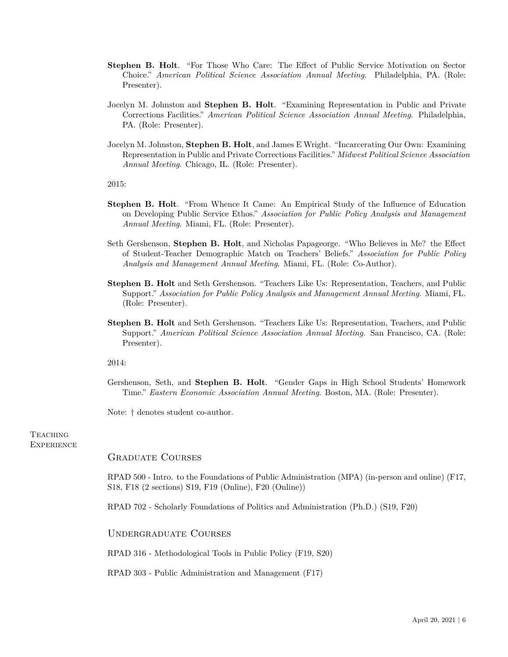- **Stephen B. Holt**. "For Those Who Care: The Effect of Public Service Motivation on Sector Choice." *American Political Science Association Annual Meeting*. Philadelphia, PA. (Role: Presenter).
- Jocelyn M. Johnston and **Stephen B. Holt**. "Examining Representation in Public and Private Corrections Facilities." *American Political Science Association Annual Meeting*. Philadelphia, PA. (Role: Presenter).
- Jocelyn M. Johnston, **Stephen B. Holt**, and James E Wright. "Incarcerating Our Own: Examining Representation in Public and Private Corrections Facilities." *Midwest Political Science Association Annual Meeting*. Chicago, IL. (Role: Presenter).

2015:

- **Stephen B. Holt**. "From Whence It Came: An Empirical Study of the Influence of Education on Developing Public Service Ethos." *Association for Public Policy Analysis and Management Annual Meeting*. Miami, FL. (Role: Presenter).
- Seth Gershenson, **Stephen B. Holt**, and Nicholas Papageorge. "Who Believes in Me? the Effect of Student-Teacher Demographic Match on Teachers' Beliefs." *Association for Public Policy Analysis and Management Annual Meeting*. Miami, FL. (Role: Co-Author).
- **Stephen B. Holt** and Seth Gershenson. "Teachers Like Us: Representation, Teachers, and Public Support." *Association for Public Policy Analysis and Management Annual Meeting*. Miami, FL. (Role: Presenter).
- **Stephen B. Holt** and Seth Gershenson. "Teachers Like Us: Representation, Teachers, and Public Support." *American Political Science Association Annual Meeting*. San Francisco, CA. (Role: Presenter).

2014:

Gershenson, Seth, and **Stephen B. Holt**. "Gender Gaps in High School Students' Homework Time." *Eastern Economic Association Annual Meeting*. Boston, MA. (Role: Presenter).

Note:  $\dagger$  denotes student co-author.

**TEACHING EXPERIENCE** 

#### Graduate Courses

RPAD 500 - Intro. to the Foundations of Public Administration (MPA) (in-person and online) (F17, S18, F18 (2 sections) S19, F19 (Online), F20 (Online))

RPAD 702 - Scholarly Foundations of Politics and Administration (Ph.D.) (S19, F20)

Undergraduate Courses

RPAD 316 - Methodological Tools in Public Policy (F19, S20)

RPAD 303 - Public Administration and Management (F17)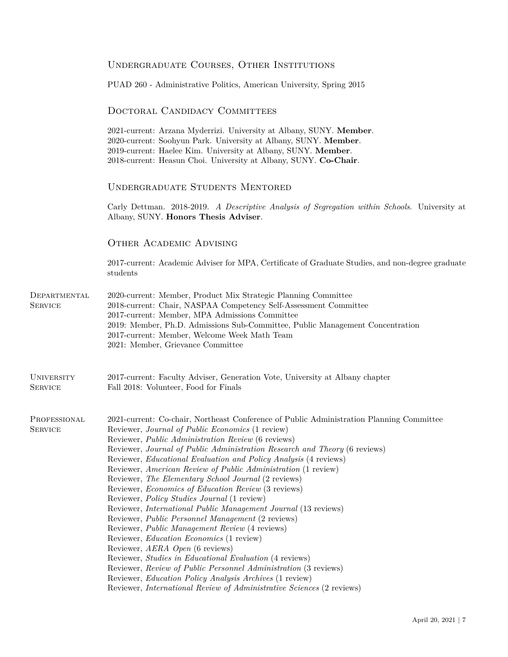|                                     | UNDERGRADUATE COURSES, OTHER INSTITUTIONS                                                                                                                                                                                                                                                                                                                                                                                                                                                                                                                                                                                                                                                                                                                                                                                                                                                                                                                                                                                                                                                                                                              |  |  |
|-------------------------------------|--------------------------------------------------------------------------------------------------------------------------------------------------------------------------------------------------------------------------------------------------------------------------------------------------------------------------------------------------------------------------------------------------------------------------------------------------------------------------------------------------------------------------------------------------------------------------------------------------------------------------------------------------------------------------------------------------------------------------------------------------------------------------------------------------------------------------------------------------------------------------------------------------------------------------------------------------------------------------------------------------------------------------------------------------------------------------------------------------------------------------------------------------------|--|--|
|                                     | PUAD 260 - Administrative Politics, American University, Spring 2015                                                                                                                                                                                                                                                                                                                                                                                                                                                                                                                                                                                                                                                                                                                                                                                                                                                                                                                                                                                                                                                                                   |  |  |
|                                     | DOCTORAL CANDIDACY COMMITTEES                                                                                                                                                                                                                                                                                                                                                                                                                                                                                                                                                                                                                                                                                                                                                                                                                                                                                                                                                                                                                                                                                                                          |  |  |
|                                     | 2021-current: Arzana Myderrizi. University at Albany, SUNY. Member.<br>2020-current: Soohyun Park. University at Albany, SUNY. Member.<br>2019-current: Haelee Kim. University at Albany, SUNY. Member.<br>2018-current: Heasun Choi. University at Albany, SUNY. Co-Chair.                                                                                                                                                                                                                                                                                                                                                                                                                                                                                                                                                                                                                                                                                                                                                                                                                                                                            |  |  |
|                                     | <b>UNDERGRADUATE STUDENTS MENTORED</b>                                                                                                                                                                                                                                                                                                                                                                                                                                                                                                                                                                                                                                                                                                                                                                                                                                                                                                                                                                                                                                                                                                                 |  |  |
|                                     | Carly Dettman. 2018-2019. A Descriptive Analysis of Segregation within Schools. University at<br>Albany, SUNY. Honors Thesis Adviser.                                                                                                                                                                                                                                                                                                                                                                                                                                                                                                                                                                                                                                                                                                                                                                                                                                                                                                                                                                                                                  |  |  |
|                                     | <b>OTHER ACADEMIC ADVISING</b>                                                                                                                                                                                                                                                                                                                                                                                                                                                                                                                                                                                                                                                                                                                                                                                                                                                                                                                                                                                                                                                                                                                         |  |  |
|                                     | 2017-current: Academic Adviser for MPA, Certificate of Graduate Studies, and non-degree graduate<br>students                                                                                                                                                                                                                                                                                                                                                                                                                                                                                                                                                                                                                                                                                                                                                                                                                                                                                                                                                                                                                                           |  |  |
| DEPARTMENTAL<br><b>SERVICE</b>      | 2020-current: Member, Product Mix Strategic Planning Committee<br>2018-current: Chair, NASPAA Competency Self-Assessment Committee<br>2017-current: Member, MPA Admissions Committee<br>2019: Member, Ph.D. Admissions Sub-Committee, Public Management Concentration<br>2017-current: Member, Welcome Week Math Team<br>2021: Member, Grievance Committee                                                                                                                                                                                                                                                                                                                                                                                                                                                                                                                                                                                                                                                                                                                                                                                             |  |  |
| <b>UNIVERSITY</b><br><b>SERVICE</b> | 2017-current: Faculty Adviser, Generation Vote, University at Albany chapter<br>Fall 2018: Volunteer, Food for Finals                                                                                                                                                                                                                                                                                                                                                                                                                                                                                                                                                                                                                                                                                                                                                                                                                                                                                                                                                                                                                                  |  |  |
| PROFESSIONAL<br><b>SERVICE</b>      | 2021-current: Co-chair, Northeast Conference of Public Administration Planning Committee<br>Reviewer, Journal of Public Economics (1 review)<br>Reviewer, <i>Public Administration Review</i> (6 reviews)<br>Reviewer, Journal of Public Administration Research and Theory (6 reviews)<br>Reviewer, <i>Educational Evaluation and Policy Analysis</i> (4 reviews)<br>Reviewer, American Review of Public Administration (1 review)<br>Reviewer, The Elementary School Journal (2 reviews)<br>Reviewer, Economics of Education Review (3 reviews)<br>Reviewer, <i>Policy Studies Journal</i> (1 review)<br>Reviewer, International Public Management Journal (13 reviews)<br>Reviewer, Public Personnel Management (2 reviews)<br>Reviewer, Public Management Review (4 reviews)<br>Reviewer, <i>Education Economics</i> (1 review)<br>Reviewer, AERA Open (6 reviews)<br>Reviewer, Studies in Educational Evaluation (4 reviews)<br>Reviewer, Review of Public Personnel Administration (3 reviews)<br>Reviewer, <i>Education Policy Analysis Archives</i> (1 review)<br>Reviewer, <i>International Review of Administrative Sciences</i> (2 reviews) |  |  |